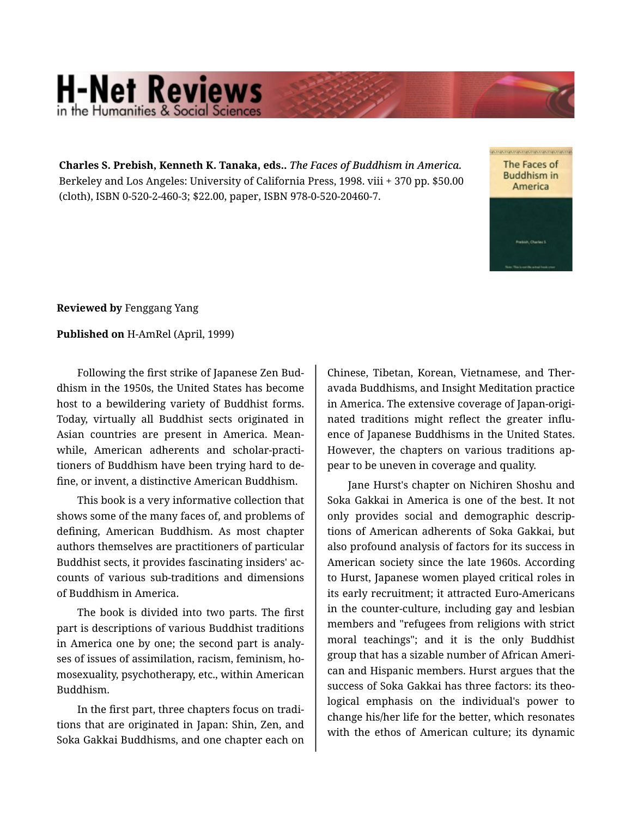## **H-Net Reviews** in the Humanities & Social S

**Charles S. Prebish, Kenneth K. Tanaka, eds..** *The Faces of Buddhism in America.*  Berkeley and Los Angeles: University of California Press, 1998. viii + 370 pp. \$50.00 (cloth), ISBN 0-520-2-460-3; \$22.00, paper, ISBN 978-0-520-20460-7.

The Faces of **Buddhism in** America

**Reviewed by** Fenggang Yang

**Published on** H-AmRel (April, 1999)

Following the first strike of Japanese Zen Bud‐ dhism in the 1950s, the United States has become host to a bewildering variety of Buddhist forms. Today, virtually all Buddhist sects originated in Asian countries are present in America. Mean‐ while, American adherents and scholar-practi‐ tioners of Buddhism have been trying hard to de‐ fine, or invent, a distinctive American Buddhism.

This book is a very informative collection that shows some of the many faces of, and problems of defining, American Buddhism. As most chapter authors themselves are practitioners of particular Buddhist sects, it provides fascinating insiders' ac‐ counts of various sub-traditions and dimensions of Buddhism in America.

The book is divided into two parts. The first part is descriptions of various Buddhist traditions in America one by one; the second part is analy‐ ses of issues of assimilation, racism, feminism, homosexuality, psychotherapy, etc., within American Buddhism.

In the first part, three chapters focus on tradi‐ tions that are originated in Japan: Shin, Zen, and Soka Gakkai Buddhisms, and one chapter each on

Chinese, Tibetan, Korean, Vietnamese, and Ther‐ avada Buddhisms, and Insight Meditation practice in America. The extensive coverage of Japan-origi‐ nated traditions might reflect the greater influ‐ ence of Japanese Buddhisms in the United States. However, the chapters on various traditions ap‐ pear to be uneven in coverage and quality.

Jane Hurst's chapter on Nichiren Shoshu and Soka Gakkai in America is one of the best. It not only provides social and demographic descrip‐ tions of American adherents of Soka Gakkai, but also profound analysis of factors for its success in American society since the late 1960s. According to Hurst, Japanese women played critical roles in its early recruitment; it attracted Euro-Americans in the counter-culture, including gay and lesbian members and "refugees from religions with strict moral teachings"; and it is the only Buddhist group that has a sizable number of African Ameri‐ can and Hispanic members. Hurst argues that the success of Soka Gakkai has three factors: its theo‐ logical emphasis on the individual's power to change his/her life for the better, which resonates with the ethos of American culture; its dynamic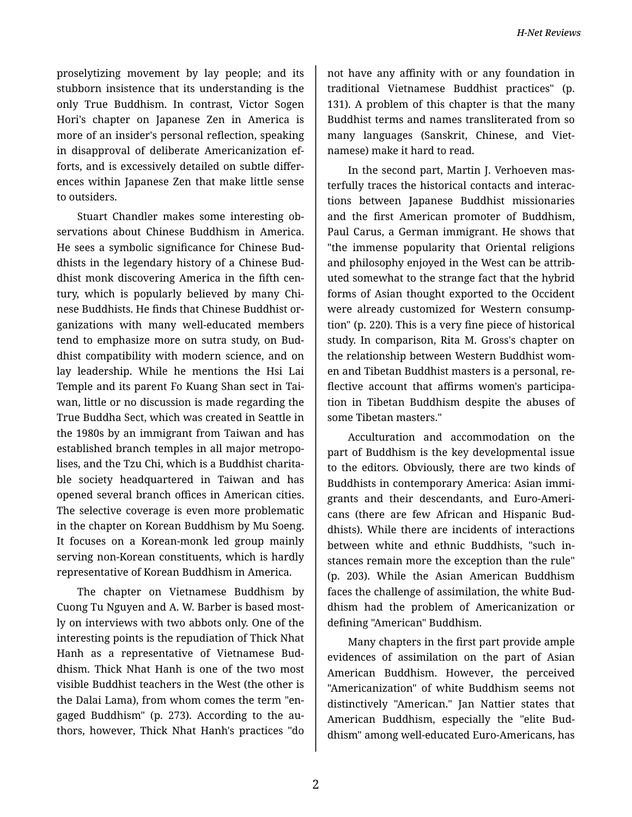proselytizing movement by lay people; and its stubborn insistence that its understanding is the only True Buddhism. In contrast, Victor Sogen Hori's chapter on Japanese Zen in America is more of an insider's personal reflection, speaking in disapproval of deliberate Americanization ef‐ forts, and is excessively detailed on subtle differ‐ ences within Japanese Zen that make little sense to outsiders.

Stuart Chandler makes some interesting ob‐ servations about Chinese Buddhism in America. He sees a symbolic significance for Chinese Bud‐ dhists in the legendary history of a Chinese Bud‐ dhist monk discovering America in the fifth cen‐ tury, which is popularly believed by many Chi‐ nese Buddhists. He finds that Chinese Buddhist or‐ ganizations with many well-educated members tend to emphasize more on sutra study, on Bud‐ dhist compatibility with modern science, and on lay leadership. While he mentions the Hsi Lai Temple and its parent Fo Kuang Shan sect in Tai‐ wan, little or no discussion is made regarding the True Buddha Sect, which was created in Seattle in the 1980s by an immigrant from Taiwan and has established branch temples in all major metropo‐ lises, and the Tzu Chi, which is a Buddhist charita‐ ble society headquartered in Taiwan and has opened several branch offices in American cities. The selective coverage is even more problematic in the chapter on Korean Buddhism by Mu Soeng. It focuses on a Korean-monk led group mainly serving non-Korean constituents, which is hardly representative of Korean Buddhism in America.

The chapter on Vietnamese Buddhism by Cuong Tu Nguyen and A. W. Barber is based most‐ ly on interviews with two abbots only. One of the interesting points is the repudiation of Thick Nhat Hanh as a representative of Vietnamese Bud‐ dhism. Thick Nhat Hanh is one of the two most visible Buddhist teachers in the West (the other is the Dalai Lama), from whom comes the term "en‐ gaged Buddhism" (p. 273). According to the au‐ thors, however, Thick Nhat Hanh's practices "do

not have any affinity with or any foundation in traditional Vietnamese Buddhist practices" (p. 131). A problem of this chapter is that the many Buddhist terms and names transliterated from so many languages (Sanskrit, Chinese, and Viet‐ namese) make it hard to read.

In the second part, Martin J. Verhoeven mas‐ terfully traces the historical contacts and interac‐ tions between Japanese Buddhist missionaries and the first American promoter of Buddhism, Paul Carus, a German immigrant. He shows that "the immense popularity that Oriental religions and philosophy enjoyed in the West can be attrib‐ uted somewhat to the strange fact that the hybrid forms of Asian thought exported to the Occident were already customized for Western consump‐ tion" (p. 220). This is a very fine piece of historical study. In comparison, Rita M. Gross's chapter on the relationship between Western Buddhist wom‐ en and Tibetan Buddhist masters is a personal, re‐ flective account that affirms women's participa‐ tion in Tibetan Buddhism despite the abuses of some Tibetan masters."

Acculturation and accommodation on the part of Buddhism is the key developmental issue to the editors. Obviously, there are two kinds of Buddhists in contemporary America: Asian immi‐ grants and their descendants, and Euro-Ameri‐ cans (there are few African and Hispanic Bud‐ dhists). While there are incidents of interactions between white and ethnic Buddhists, "such in‐ stances remain more the exception than the rule" (p. 203). While the Asian American Buddhism faces the challenge of assimilation, the white Bud‐ dhism had the problem of Americanization or defining "American" Buddhism.

Many chapters in the first part provide ample evidences of assimilation on the part of Asian American Buddhism. However, the perceived "Americanization" of white Buddhism seems not distinctively "American." Jan Nattier states that American Buddhism, especially the "elite Bud‐ dhism" among well-educated Euro-Americans, has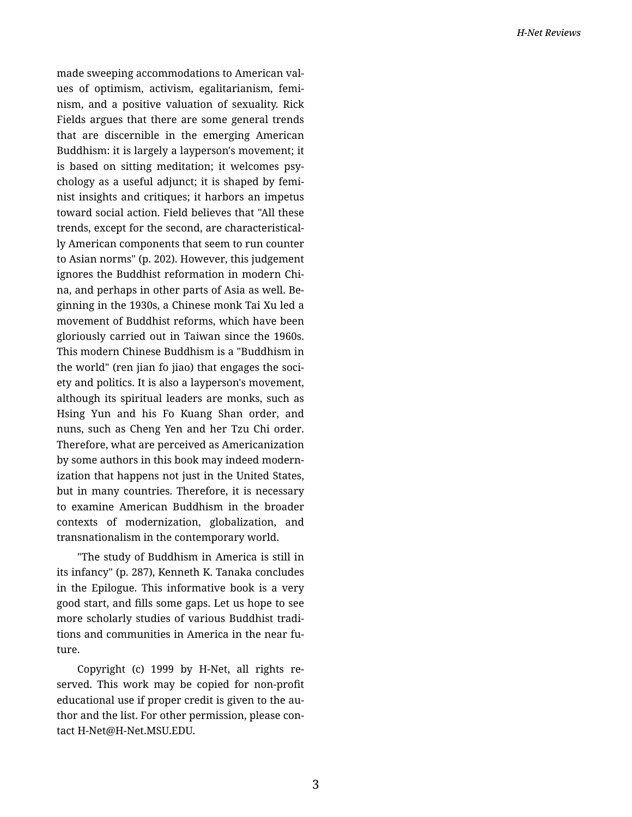made sweeping accommodations to American val‐ ues of optimism, activism, egalitarianism, femi‐ nism, and a positive valuation of sexuality. Rick Fields argues that there are some general trends that are discernible in the emerging American Buddhism: it is largely a layperson's movement; it is based on sitting meditation; it welcomes psy‐ chology as a useful adjunct; it is shaped by femi‐ nist insights and critiques; it harbors an impetus toward social action. Field believes that "All these trends, except for the second, are characteristical‐ ly American components that seem to run counter to Asian norms" (p. 202). However, this judgement ignores the Buddhist reformation in modern Chi‐ na, and perhaps in other parts of Asia as well. Be‐ ginning in the 1930s, a Chinese monk Tai Xu led a movement of Buddhist reforms, which have been gloriously carried out in Taiwan since the 1960s. This modern Chinese Buddhism is a "Buddhism in the world" (ren jian fo jiao) that engages the soci‐ ety and politics. It is also a layperson's movement, although its spiritual leaders are monks, such as Hsing Yun and his Fo Kuang Shan order, and nuns, such as Cheng Yen and her Tzu Chi order. Therefore, what are perceived as Americanization by some authors in this book may indeed modern‐ ization that happens not just in the United States, but in many countries. Therefore, it is necessary to examine American Buddhism in the broader contexts of modernization, globalization, and transnationalism in the contemporary world.

"The study of Buddhism in America is still in its infancy" (p. 287), Kenneth K. Tanaka concludes in the Epilogue. This informative book is a very good start, and fills some gaps. Let us hope to see more scholarly studies of various Buddhist tradi‐ tions and communities in America in the near fu‐ ture.

Copyright (c) 1999 by H-Net, all rights re‐ served. This work may be copied for non-profit educational use if proper credit is given to the au‐ thor and the list. For other permission, please con‐ tact H-Net@H-Net.MSU.EDU.